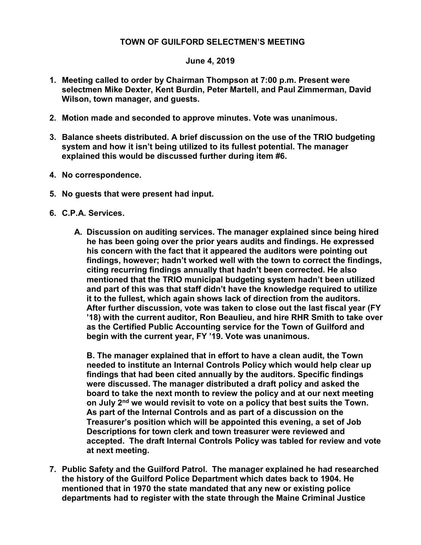## TOWN OF GUILFORD SELECTMEN'S MEETING

## June 4, 2019

- 1. Meeting called to order by Chairman Thompson at 7:00 p.m. Present were selectmen Mike Dexter, Kent Burdin, Peter Martell, and Paul Zimmerman, David Wilson, town manager, and guests.
- 2. Motion made and seconded to approve minutes. Vote was unanimous.
- 3. Balance sheets distributed. A brief discussion on the use of the TRIO budgeting system and how it isn't being utilized to its fullest potential. The manager explained this would be discussed further during item #6.
- 4. No correspondence.
- 5. No guests that were present had input.
- 6. C.P.A. Services.
	- A. Discussion on auditing services. The manager explained since being hired he has been going over the prior years audits and findings. He expressed his concern with the fact that it appeared the auditors were pointing out findings, however; hadn't worked well with the town to correct the findings, citing recurring findings annually that hadn't been corrected. He also mentioned that the TRIO municipal budgeting system hadn't been utilized and part of this was that staff didn't have the knowledge required to utilize it to the fullest, which again shows lack of direction from the auditors. After further discussion, vote was taken to close out the last fiscal year (FY '18) with the current auditor, Ron Beaulieu, and hire RHR Smith to take over as the Certified Public Accounting service for the Town of Guilford and begin with the current year, FY '19. Vote was unanimous.

B. The manager explained that in effort to have a clean audit, the Town needed to institute an Internal Controls Policy which would help clear up findings that had been cited annually by the auditors. Specific findings were discussed. The manager distributed a draft policy and asked the board to take the next month to review the policy and at our next meeting on July 2<sup>nd</sup> we would revisit to vote on a policy that best suits the Town. As part of the Internal Controls and as part of a discussion on the Treasurer's position which will be appointed this evening, a set of Job Descriptions for town clerk and town treasurer were reviewed and accepted. The draft Internal Controls Policy was tabled for review and vote at next meeting.

7. Public Safety and the Guilford Patrol. The manager explained he had researched the history of the Guilford Police Department which dates back to 1904. He mentioned that in 1970 the state mandated that any new or existing police departments had to register with the state through the Maine Criminal Justice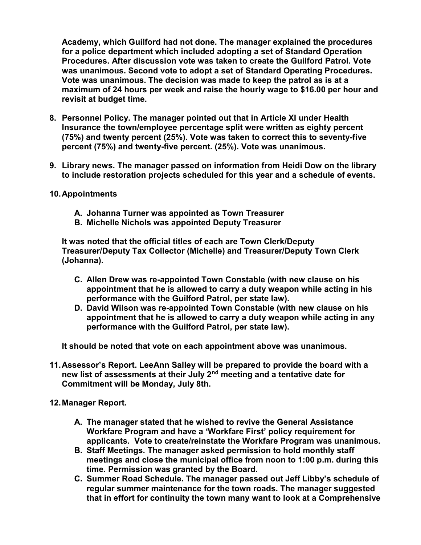Academy, which Guilford had not done. The manager explained the procedures for a police department which included adopting a set of Standard Operation Procedures. After discussion vote was taken to create the Guilford Patrol. Vote was unanimous. Second vote to adopt a set of Standard Operating Procedures. Vote was unanimous. The decision was made to keep the patrol as is at a maximum of 24 hours per week and raise the hourly wage to \$16.00 per hour and revisit at budget time.

- 8. Personnel Policy. The manager pointed out that in Article XI under Health Insurance the town/employee percentage split were written as eighty percent (75%) and twenty percent (25%). Vote was taken to correct this to seventy-five percent (75%) and twenty-five percent. (25%). Vote was unanimous.
- 9. Library news. The manager passed on information from Heidi Dow on the library to include restoration projects scheduled for this year and a schedule of events.
- 10. Appointments
	- A. Johanna Turner was appointed as Town Treasurer
	- B. Michelle Nichols was appointed Deputy Treasurer

It was noted that the official titles of each are Town Clerk/Deputy Treasurer/Deputy Tax Collector (Michelle) and Treasurer/Deputy Town Clerk (Johanna).

- C. Allen Drew was re-appointed Town Constable (with new clause on his appointment that he is allowed to carry a duty weapon while acting in his performance with the Guilford Patrol, per state law).
- D. David Wilson was re-appointed Town Constable (with new clause on his appointment that he is allowed to carry a duty weapon while acting in any performance with the Guilford Patrol, per state law).

It should be noted that vote on each appointment above was unanimous.

- 11. Assessor's Report. LeeAnn Salley will be prepared to provide the board with a new list of assessments at their July 2nd meeting and a tentative date for Commitment will be Monday, July 8th.
- 12. Manager Report.
	- A. The manager stated that he wished to revive the General Assistance Workfare Program and have a 'Workfare First' policy requirement for applicants. Vote to create/reinstate the Workfare Program was unanimous.
	- B. Staff Meetings. The manager asked permission to hold monthly staff meetings and close the municipal office from noon to 1:00 p.m. during this time. Permission was granted by the Board.
	- C. Summer Road Schedule. The manager passed out Jeff Libby's schedule of regular summer maintenance for the town roads. The manager suggested that in effort for continuity the town many want to look at a Comprehensive